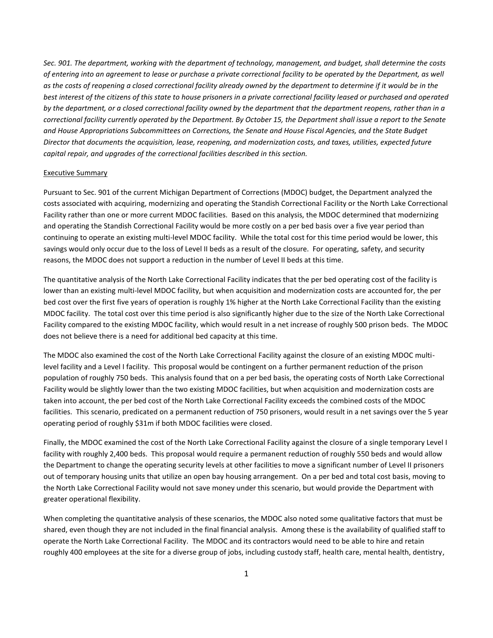*Sec. 901. The department, working with the department of technology, management, and budget, shall determine the costs of entering into an agreement to lease or purchase a private correctional facility to be operated by the Department, as well as the costs of reopening a closed correctional facility already owned by the department to determine if it would be in the best interest of the citizens of this state to house prisoners in a private correctional facility leased or purchased and operated by the department, or a closed correctional facility owned by the department that the department reopens, rather than in a correctional facility currently operated by the Department. By October 15, the Department shall issue a report to the Senate and House Appropriations Subcommittees on Corrections, the Senate and House Fiscal Agencies, and the State Budget Director that documents the acquisition, lease, reopening, and modernization costs, and taxes, utilities, expected future capital repair, and upgrades of the correctional facilities described in this section.*

#### Executive Summary

Pursuant to Sec. 901 of the current Michigan Department of Corrections (MDOC) budget, the Department analyzed the costs associated with acquiring, modernizing and operating the Standish Correctional Facility or the North Lake Correctional Facility rather than one or more current MDOC facilities. Based on this analysis, the MDOC determined that modernizing and operating the Standish Correctional Facility would be more costly on a per bed basis over a five year period than continuing to operate an existing multi-level MDOC facility. While the total cost for this time period would be lower, this savings would only occur due to the loss of Level II beds as a result of the closure. For operating, safety, and security reasons, the MDOC does not support a reduction in the number of Level II beds at this time.

The quantitative analysis of the North Lake Correctional Facility indicates that the per bed operating cost of the facility is lower than an existing multi-level MDOC facility, but when acquisition and modernization costs are accounted for, the per bed cost over the first five years of operation is roughly 1% higher at the North Lake Correctional Facility than the existing MDOC facility. The total cost over this time period is also significantly higher due to the size of the North Lake Correctional Facility compared to the existing MDOC facility, which would result in a net increase of roughly 500 prison beds. The MDOC does not believe there is a need for additional bed capacity at this time.

The MDOC also examined the cost of the North Lake Correctional Facility against the closure of an existing MDOC multilevel facility and a Level I facility. This proposal would be contingent on a further permanent reduction of the prison population of roughly 750 beds. This analysis found that on a per bed basis, the operating costs of North Lake Correctional Facility would be slightly lower than the two existing MDOC facilities, but when acquisition and modernization costs are taken into account, the per bed cost of the North Lake Correctional Facility exceeds the combined costs of the MDOC facilities. This scenario, predicated on a permanent reduction of 750 prisoners, would result in a net savings over the 5 year operating period of roughly \$31m if both MDOC facilities were closed.

Finally, the MDOC examined the cost of the North Lake Correctional Facility against the closure of a single temporary Level I facility with roughly 2,400 beds. This proposal would require a permanent reduction of roughly 550 beds and would allow the Department to change the operating security levels at other facilities to move a significant number of Level II prisoners out of temporary housing units that utilize an open bay housing arrangement. On a per bed and total cost basis, moving to the North Lake Correctional Facility would not save money under this scenario, but would provide the Department with greater operational flexibility.

When completing the quantitative analysis of these scenarios, the MDOC also noted some qualitative factors that must be shared, even though they are not included in the final financial analysis. Among these is the availability of qualified staff to operate the North Lake Correctional Facility. The MDOC and its contractors would need to be able to hire and retain roughly 400 employees at the site for a diverse group of jobs, including custody staff, health care, mental health, dentistry,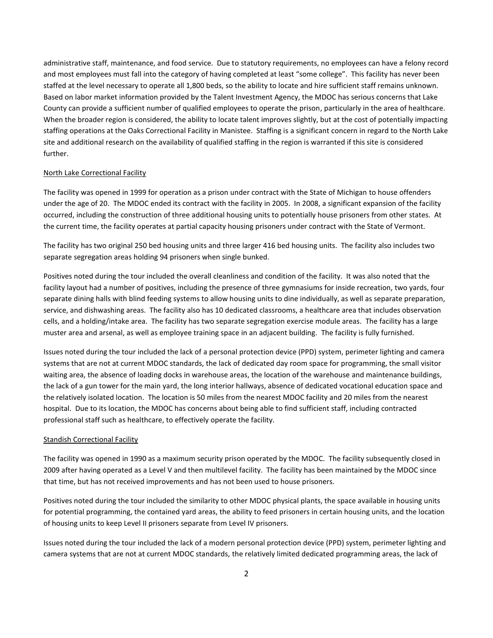administrative staff, maintenance, and food service. Due to statutory requirements, no employees can have a felony record and most employees must fall into the category of having completed at least "some college". This facility has never been staffed at the level necessary to operate all 1,800 beds, so the ability to locate and hire sufficient staff remains unknown. Based on labor market information provided by the Talent Investment Agency, the MDOC has serious concerns that Lake County can provide a sufficient number of qualified employees to operate the prison, particularly in the area of healthcare. When the broader region is considered, the ability to locate talent improves slightly, but at the cost of potentially impacting staffing operations at the Oaks Correctional Facility in Manistee. Staffing is a significant concern in regard to the North Lake site and additional research on the availability of qualified staffing in the region is warranted if this site is considered further.

#### North Lake Correctional Facility

The facility was opened in 1999 for operation as a prison under contract with the State of Michigan to house offenders under the age of 20. The MDOC ended its contract with the facility in 2005. In 2008, a significant expansion of the facility occurred, including the construction of three additional housing units to potentially house prisoners from other states. At the current time, the facility operates at partial capacity housing prisoners under contract with the State of Vermont.

The facility has two original 250 bed housing units and three larger 416 bed housing units. The facility also includes two separate segregation areas holding 94 prisoners when single bunked.

Positives noted during the tour included the overall cleanliness and condition of the facility. It was also noted that the facility layout had a number of positives, including the presence of three gymnasiums for inside recreation, two yards, four separate dining halls with blind feeding systems to allow housing units to dine individually, as well as separate preparation, service, and dishwashing areas. The facility also has 10 dedicated classrooms, a healthcare area that includes observation cells, and a holding/intake area. The facility has two separate segregation exercise module areas. The facility has a large muster area and arsenal, as well as employee training space in an adjacent building. The facility is fully furnished.

Issues noted during the tour included the lack of a personal protection device (PPD) system, perimeter lighting and camera systems that are not at current MDOC standards, the lack of dedicated day room space for programming, the small visitor waiting area, the absence of loading docks in warehouse areas, the location of the warehouse and maintenance buildings, the lack of a gun tower for the main yard, the long interior hallways, absence of dedicated vocational education space and the relatively isolated location. The location is 50 miles from the nearest MDOC facility and 20 miles from the nearest hospital. Due to its location, the MDOC has concerns about being able to find sufficient staff, including contracted professional staff such as healthcare, to effectively operate the facility.

#### Standish Correctional Facility

The facility was opened in 1990 as a maximum security prison operated by the MDOC. The facility subsequently closed in 2009 after having operated as a Level V and then multilevel facility. The facility has been maintained by the MDOC since that time, but has not received improvements and has not been used to house prisoners.

Positives noted during the tour included the similarity to other MDOC physical plants, the space available in housing units for potential programming, the contained yard areas, the ability to feed prisoners in certain housing units, and the location of housing units to keep Level II prisoners separate from Level IV prisoners.

Issues noted during the tour included the lack of a modern personal protection device (PPD) system, perimeter lighting and camera systems that are not at current MDOC standards, the relatively limited dedicated programming areas, the lack of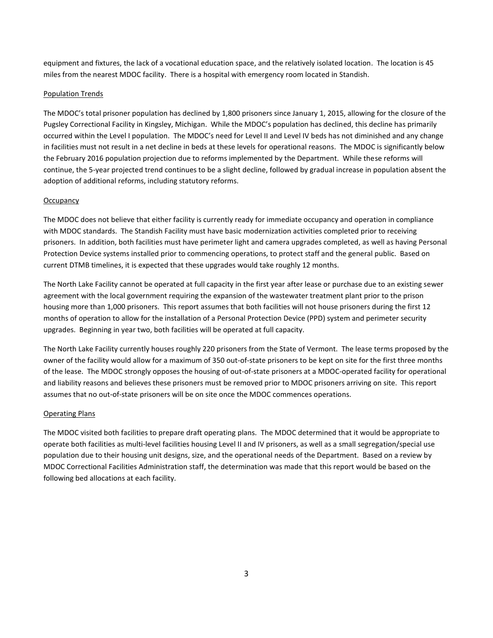equipment and fixtures, the lack of a vocational education space, and the relatively isolated location. The location is 45 miles from the nearest MDOC facility. There is a hospital with emergency room located in Standish.

#### Population Trends

The MDOC's total prisoner population has declined by 1,800 prisoners since January 1, 2015, allowing for the closure of the Pugsley Correctional Facility in Kingsley, Michigan. While the MDOC's population has declined, this decline has primarily occurred within the Level I population. The MDOC's need for Level II and Level IV beds has not diminished and any change in facilities must not result in a net decline in beds at these levels for operational reasons. The MDOC is significantly below the February 2016 population projection due to reforms implemented by the Department. While these reforms will continue, the 5-year projected trend continues to be a slight decline, followed by gradual increase in population absent the adoption of additional reforms, including statutory reforms.

## **Occupancy**

The MDOC does not believe that either facility is currently ready for immediate occupancy and operation in compliance with MDOC standards. The Standish Facility must have basic modernization activities completed prior to receiving prisoners. In addition, both facilities must have perimeter light and camera upgrades completed, as well as having Personal Protection Device systems installed prior to commencing operations, to protect staff and the general public. Based on current DTMB timelines, it is expected that these upgrades would take roughly 12 months.

The North Lake Facility cannot be operated at full capacity in the first year after lease or purchase due to an existing sewer agreement with the local government requiring the expansion of the wastewater treatment plant prior to the prison housing more than 1,000 prisoners. This report assumes that both facilities will not house prisoners during the first 12 months of operation to allow for the installation of a Personal Protection Device (PPD) system and perimeter security upgrades. Beginning in year two, both facilities will be operated at full capacity.

The North Lake Facility currently houses roughly 220 prisoners from the State of Vermont. The lease terms proposed by the owner of the facility would allow for a maximum of 350 out-of-state prisoners to be kept on site for the first three months of the lease. The MDOC strongly opposes the housing of out-of-state prisoners at a MDOC-operated facility for operational and liability reasons and believes these prisoners must be removed prior to MDOC prisoners arriving on site. This report assumes that no out-of-state prisoners will be on site once the MDOC commences operations.

# Operating Plans

The MDOC visited both facilities to prepare draft operating plans. The MDOC determined that it would be appropriate to operate both facilities as multi-level facilities housing Level II and IV prisoners, as well as a small segregation/special use population due to their housing unit designs, size, and the operational needs of the Department. Based on a review by MDOC Correctional Facilities Administration staff, the determination was made that this report would be based on the following bed allocations at each facility.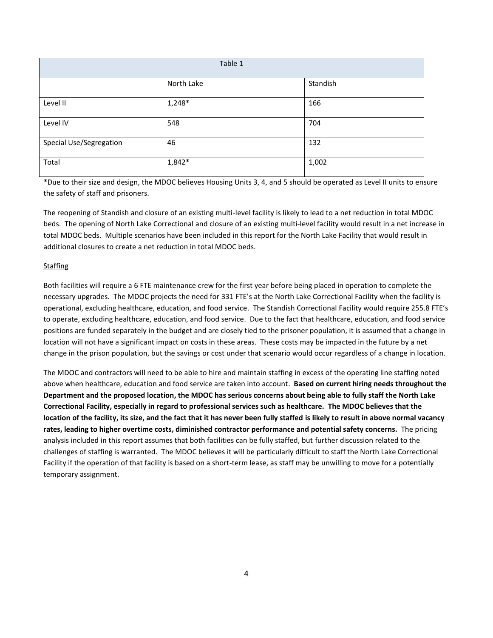| Table 1                 |            |          |  |  |
|-------------------------|------------|----------|--|--|
|                         | North Lake | Standish |  |  |
| Level II                | $1,248*$   | 166      |  |  |
| Level IV                | 548        | 704      |  |  |
| Special Use/Segregation | 46         | 132      |  |  |
| Total                   | $1,842*$   | 1,002    |  |  |

\*Due to their size and design, the MDOC believes Housing Units 3, 4, and 5 should be operated as Level II units to ensure the safety of staff and prisoners.

The reopening of Standish and closure of an existing multi-level facility is likely to lead to a net reduction in total MDOC beds. The opening of North Lake Correctional and closure of an existing multi-level facility would result in a net increase in total MDOC beds. Multiple scenarios have been included in this report for the North Lake Facility that would result in additional closures to create a net reduction in total MDOC beds.

## **Staffing**

Both facilities will require a 6 FTE maintenance crew for the first year before being placed in operation to complete the necessary upgrades. The MDOC projects the need for 331 FTE's at the North Lake Correctional Facility when the facility is operational, excluding healthcare, education, and food service. The Standish Correctional Facility would require 255.8 FTE's to operate, excluding healthcare, education, and food service. Due to the fact that healthcare, education, and food service positions are funded separately in the budget and are closely tied to the prisoner population, it is assumed that a change in location will not have a significant impact on costs in these areas. These costs may be impacted in the future by a net change in the prison population, but the savings or cost under that scenario would occur regardless of a change in location.

The MDOC and contractors will need to be able to hire and maintain staffing in excess of the operating line staffing noted above when healthcare, education and food service are taken into account. **Based on current hiring needs throughout the Department and the proposed location, the MDOC has serious concerns about being able to fully staff the North Lake Correctional Facility, especially in regard to professional services such as healthcare. The MDOC believes that the location of the facility, its size, and the fact that it has never been fully staffed is likely to result in above normal vacancy rates, leading to higher overtime costs, diminished contractor performance and potential safety concerns.** The pricing analysis included in this report assumes that both facilities can be fully staffed, but further discussion related to the challenges of staffing is warranted. The MDOC believes it will be particularly difficult to staff the North Lake Correctional Facility if the operation of that facility is based on a short-term lease, as staff may be unwilling to move for a potentially temporary assignment.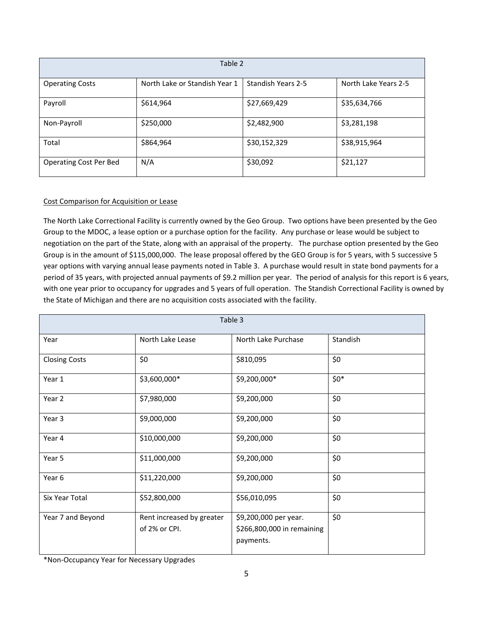| Table 2                       |                               |                           |                      |  |  |
|-------------------------------|-------------------------------|---------------------------|----------------------|--|--|
| <b>Operating Costs</b>        | North Lake or Standish Year 1 | <b>Standish Years 2-5</b> | North Lake Years 2-5 |  |  |
| Payroll                       | \$614,964                     | \$27,669,429              | \$35,634,766         |  |  |
| Non-Payroll                   | \$250,000                     | \$2,482,900               | \$3,281,198          |  |  |
| Total                         | \$864,964                     | \$30,152,329              | \$38,915,964         |  |  |
| <b>Operating Cost Per Bed</b> | N/A                           | \$30,092                  | \$21,127             |  |  |

# Cost Comparison for Acquisition or Lease

The North Lake Correctional Facility is currently owned by the Geo Group. Two options have been presented by the Geo Group to the MDOC, a lease option or a purchase option for the facility. Any purchase or lease would be subject to negotiation on the part of the State, along with an appraisal of the property. The purchase option presented by the Geo Group is in the amount of \$115,000,000. The lease proposal offered by the GEO Group is for 5 years, with 5 successive 5 year options with varying annual lease payments noted in Table 3. A purchase would result in state bond payments for a period of 35 years, with projected annual payments of \$9.2 million per year. The period of analysis for this report is 6 years, with one year prior to occupancy for upgrades and 5 years of full operation. The Standish Correctional Facility is owned by the State of Michigan and there are no acquisition costs associated with the facility.

| Table 3              |                                            |                                                                  |          |  |  |
|----------------------|--------------------------------------------|------------------------------------------------------------------|----------|--|--|
| Year                 | North Lake Lease                           | North Lake Purchase                                              | Standish |  |  |
| <b>Closing Costs</b> | \$0                                        | \$810,095                                                        | \$0      |  |  |
| Year 1               | \$3,600,000*                               | \$9,200,000*                                                     | $$0^*$   |  |  |
| Year 2               | \$7,980,000                                | \$9,200,000                                                      | \$0      |  |  |
| Year 3               | \$9,000,000                                | \$9,200,000                                                      | \$0      |  |  |
| Year 4               | \$10,000,000                               | \$9,200,000                                                      | \$0      |  |  |
| Year 5               | \$11,000,000                               | \$9,200,000                                                      | \$0      |  |  |
| Year 6               | \$11,220,000                               | \$9,200,000                                                      | \$0      |  |  |
| Six Year Total       | \$52,800,000                               | \$56,010,095                                                     | \$0      |  |  |
| Year 7 and Beyond    | Rent increased by greater<br>of 2% or CPI. | \$9,200,000 per year.<br>\$266,800,000 in remaining<br>payments. | \$0      |  |  |

\*Non-Occupancy Year for Necessary Upgrades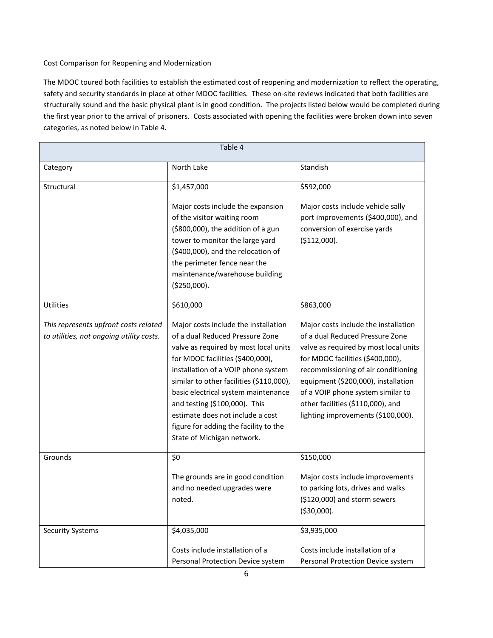# Cost Comparison for Reopening and Modernization

The MDOC toured both facilities to establish the estimated cost of reopening and modernization to reflect the operating, safety and security standards in place at other MDOC facilities. These on-site reviews indicated that both facilities are structurally sound and the basic physical plant is in good condition. The projects listed below would be completed during the first year prior to the arrival of prisoners. Costs associated with opening the facilities were broken down into seven categories, as noted below in Table 4.

| Table 4                                                                           |                                                                                                                                                                                                                                                                                                                                                                                                                            |                                                                                                                                                                                                                                                                                                                                                    |  |  |
|-----------------------------------------------------------------------------------|----------------------------------------------------------------------------------------------------------------------------------------------------------------------------------------------------------------------------------------------------------------------------------------------------------------------------------------------------------------------------------------------------------------------------|----------------------------------------------------------------------------------------------------------------------------------------------------------------------------------------------------------------------------------------------------------------------------------------------------------------------------------------------------|--|--|
| Category                                                                          | North Lake                                                                                                                                                                                                                                                                                                                                                                                                                 | Standish                                                                                                                                                                                                                                                                                                                                           |  |  |
| Structural                                                                        | \$1,457,000                                                                                                                                                                                                                                                                                                                                                                                                                | \$592,000                                                                                                                                                                                                                                                                                                                                          |  |  |
|                                                                                   | Major costs include the expansion<br>of the visitor waiting room<br>(\$800,000), the addition of a gun<br>tower to monitor the large yard<br>(\$400,000), and the relocation of<br>the perimeter fence near the<br>maintenance/warehouse building<br>( \$250,000).                                                                                                                                                         | Major costs include vehicle sally<br>port improvements (\$400,000), and<br>conversion of exercise yards<br>( \$112,000).                                                                                                                                                                                                                           |  |  |
| <b>Utilities</b>                                                                  | \$610,000                                                                                                                                                                                                                                                                                                                                                                                                                  | \$863,000                                                                                                                                                                                                                                                                                                                                          |  |  |
| This represents upfront costs related<br>to utilities, not ongoing utility costs. | Major costs include the installation<br>of a dual Reduced Pressure Zone<br>valve as required by most local units<br>for MDOC facilities (\$400,000),<br>installation of a VOIP phone system<br>similar to other facilities (\$110,000),<br>basic electrical system maintenance<br>and testing (\$100,000). This<br>estimate does not include a cost<br>figure for adding the facility to the<br>State of Michigan network. | Major costs include the installation<br>of a dual Reduced Pressure Zone<br>valve as required by most local units<br>for MDOC facilities (\$400,000),<br>recommissioning of air conditioning<br>equipment (\$200,000), installation<br>of a VOIP phone system similar to<br>other facilities (\$110,000), and<br>lighting improvements (\$100,000). |  |  |
| Grounds                                                                           | \$0                                                                                                                                                                                                                                                                                                                                                                                                                        | \$150,000                                                                                                                                                                                                                                                                                                                                          |  |  |
|                                                                                   | The grounds are in good condition<br>and no needed upgrades were<br>noted.                                                                                                                                                                                                                                                                                                                                                 | Major costs include improvements<br>to parking lots, drives and walks<br>(\$120,000) and storm sewers<br>( \$30,000).                                                                                                                                                                                                                              |  |  |
| <b>Security Systems</b>                                                           | \$4,035,000                                                                                                                                                                                                                                                                                                                                                                                                                | \$3,935,000                                                                                                                                                                                                                                                                                                                                        |  |  |
|                                                                                   | Costs include installation of a<br>Personal Protection Device system                                                                                                                                                                                                                                                                                                                                                       | Costs include installation of a<br>Personal Protection Device system                                                                                                                                                                                                                                                                               |  |  |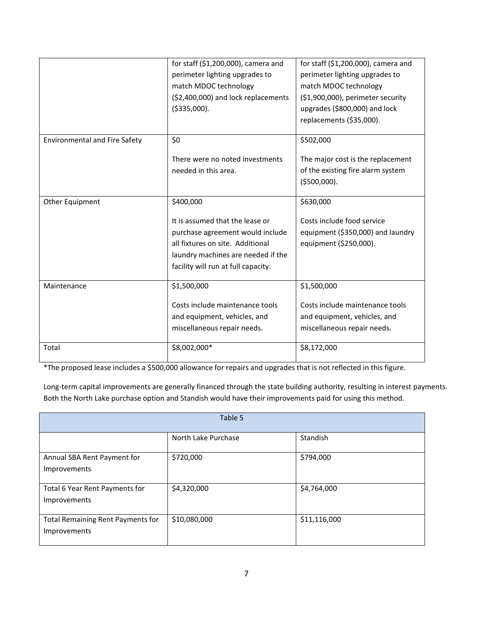|                                      | for staff (\$1,200,000), camera and<br>perimeter lighting upgrades to<br>match MDOC technology<br>(\$2,400,000) and lock replacements<br>( \$335,000).                                            | for staff (\$1,200,000), camera and<br>perimeter lighting upgrades to<br>match MDOC technology<br>(\$1,900,000), perimeter security<br>upgrades (\$800,000) and lock<br>replacements (\$35,000). |
|--------------------------------------|---------------------------------------------------------------------------------------------------------------------------------------------------------------------------------------------------|--------------------------------------------------------------------------------------------------------------------------------------------------------------------------------------------------|
| <b>Environmental and Fire Safety</b> | \$0<br>There were no noted investments<br>needed in this area.                                                                                                                                    | \$502,000<br>The major cost is the replacement<br>of the existing fire alarm system<br>( \$500,000).                                                                                             |
| Other Equipment                      | \$400,000<br>It is assumed that the lease or<br>purchase agreement would include<br>all fixtures on site. Additional<br>laundry machines are needed if the<br>facility will run at full capacity. | \$630,000<br>Costs include food service<br>equipment (\$350,000) and laundry<br>equipment (\$250,000).                                                                                           |
| Maintenance                          | \$1,500,000<br>Costs include maintenance tools<br>and equipment, vehicles, and<br>miscellaneous repair needs.                                                                                     | \$1,500,000<br>Costs include maintenance tools<br>and equipment, vehicles, and<br>miscellaneous repair needs.                                                                                    |
| Total                                | \$8,002,000*                                                                                                                                                                                      | \$8,172,000                                                                                                                                                                                      |

\*The proposed lease includes a \$500,000 allowance for repairs and upgrades that is not reflected in this figure.

Long-term capital improvements are generally financed through the state building authority, resulting in interest payments. Both the North Lake purchase option and Standish would have their improvements paid for using this method.

| Table 5                                                  |                     |              |  |  |  |
|----------------------------------------------------------|---------------------|--------------|--|--|--|
|                                                          | North Lake Purchase | Standish     |  |  |  |
| Annual SBA Rent Payment for<br>Improvements              | \$720,000           | \$794,000    |  |  |  |
| Total 6 Year Rent Payments for<br>Improvements           | \$4,320,000         | \$4,764,000  |  |  |  |
| <b>Total Remaining Rent Payments for</b><br>Improvements | \$10,080,000        | \$11,116,000 |  |  |  |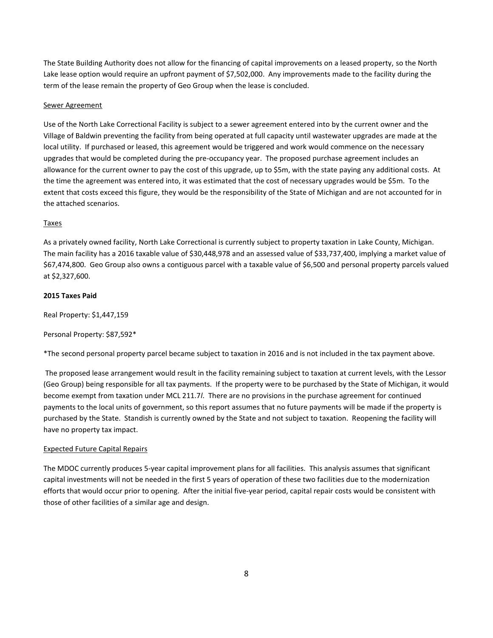The State Building Authority does not allow for the financing of capital improvements on a leased property, so the North Lake lease option would require an upfront payment of \$7,502,000. Any improvements made to the facility during the term of the lease remain the property of Geo Group when the lease is concluded.

#### Sewer Agreement

Use of the North Lake Correctional Facility is subject to a sewer agreement entered into by the current owner and the Village of Baldwin preventing the facility from being operated at full capacity until wastewater upgrades are made at the local utility. If purchased or leased, this agreement would be triggered and work would commence on the necessary upgrades that would be completed during the pre-occupancy year. The proposed purchase agreement includes an allowance for the current owner to pay the cost of this upgrade, up to \$5m, with the state paying any additional costs. At the time the agreement was entered into, it was estimated that the cost of necessary upgrades would be \$5m. To the extent that costs exceed this figure, they would be the responsibility of the State of Michigan and are not accounted for in the attached scenarios.

## Taxes

As a privately owned facility, North Lake Correctional is currently subject to property taxation in Lake County, Michigan. The main facility has a 2016 taxable value of \$30,448,978 and an assessed value of \$33,737,400, implying a market value of \$67,474,800. Geo Group also owns a contiguous parcel with a taxable value of \$6,500 and personal property parcels valued at \$2,327,600.

## **2015 Taxes Paid**

Real Property: \$1,447,159

Personal Property: \$87,592\*

\*The second personal property parcel became subject to taxation in 2016 and is not included in the tax payment above.

The proposed lease arrangement would result in the facility remaining subject to taxation at current levels, with the Lessor (Geo Group) being responsible for all tax payments. If the property were to be purchased by the State of Michigan, it would become exempt from taxation under MCL 211.7*l*. There are no provisions in the purchase agreement for continued payments to the local units of government, so this report assumes that no future payments will be made if the property is purchased by the State. Standish is currently owned by the State and not subject to taxation. Reopening the facility will have no property tax impact.

# Expected Future Capital Repairs

The MDOC currently produces 5-year capital improvement plans for all facilities. This analysis assumes that significant capital investments will not be needed in the first 5 years of operation of these two facilities due to the modernization efforts that would occur prior to opening. After the initial five-year period, capital repair costs would be consistent with those of other facilities of a similar age and design.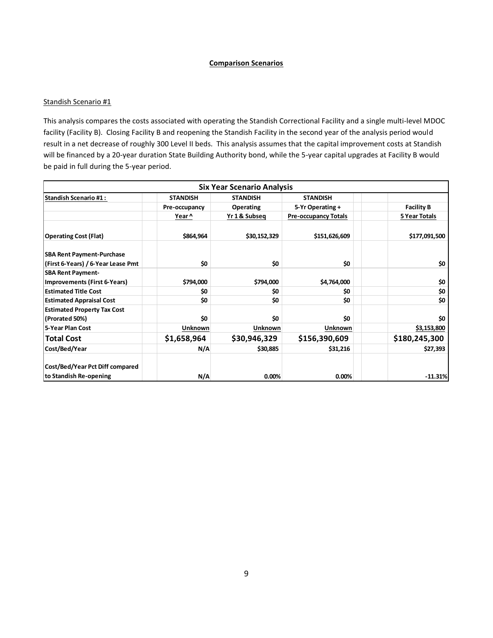### **Comparison Scenarios**

#### Standish Scenario #1

This analysis compares the costs associated with operating the Standish Correctional Facility and a single multi-level MDOC facility (Facility B). Closing Facility B and reopening the Standish Facility in the second year of the analysis period would result in a net decrease of roughly 300 Level II beds. This analysis assumes that the capital improvement costs at Standish will be financed by a 20-year duration State Building Authority bond, while the 5-year capital upgrades at Facility B would be paid in full during the 5-year period.

|                                    |                 | <b>Six Year Scenario Analysis</b> |                             |                   |
|------------------------------------|-----------------|-----------------------------------|-----------------------------|-------------------|
| <b>Standish Scenario #1:</b>       | <b>STANDISH</b> | <b>STANDISH</b>                   | <b>STANDISH</b>             |                   |
|                                    | Pre-occupancy   | <b>Operating</b>                  | 5-Yr Operating +            | <b>Facility B</b> |
|                                    | Year ^          | Yr 1 & Subseq                     | <b>Pre-occupancy Totals</b> | 5 Year Totals     |
| <b>Operating Cost (Flat)</b>       | \$864,964       | \$30,152,329                      | \$151,626,609               | \$177,091,500     |
| <b>SBA Rent Payment-Purchase</b>   |                 |                                   |                             |                   |
| (First 6-Years) / 6-Year Lease Pmt | \$0             | \$0                               | \$0                         | \$0               |
| <b>SBA Rent Payment-</b>           |                 |                                   |                             |                   |
| Improvements (First 6-Years)       | \$794,000       | \$794,000                         | \$4,764,000                 | \$0               |
| <b>Estimated Title Cost</b>        | \$0             | \$0                               | \$O                         | \$0               |
| <b>Estimated Appraisal Cost</b>    | \$O             | \$0                               | \$0                         | \$0               |
| <b>Estimated Property Tax Cost</b> |                 |                                   |                             |                   |
| (Prorated 50%)                     | \$0             | \$0                               | \$O                         | \$0               |
| 5-Year Plan Cost                   | <b>Unknown</b>  | <b>Unknown</b>                    | <b>Unknown</b>              | \$3,153,800       |
| <b>Total Cost</b>                  | \$1,658,964     | \$30,946,329                      | \$156,390,609               | \$180,245,300     |
| Cost/Bed/Year                      | N/A             | \$30,885                          | \$31,216                    | \$27,393          |
| Cost/Bed/Year Pct Diff compared    |                 |                                   |                             |                   |
| to Standish Re-opening             | N/A             | 0.00%                             | 0.00%                       | $-11.31%$         |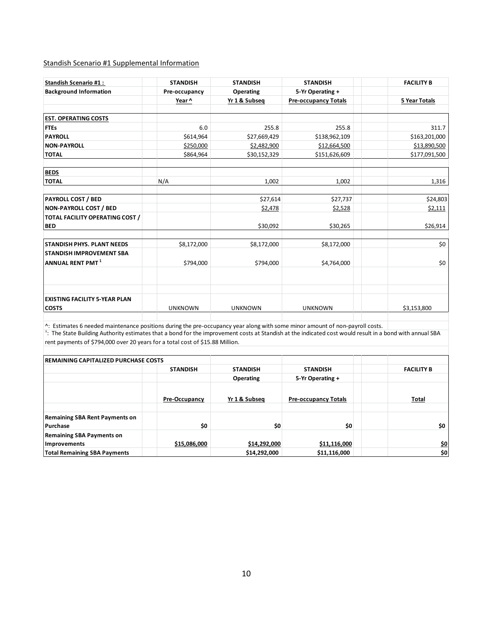## Standish Scenario #1 Supplemental Information

| <b>Standish Scenario #1:</b>                         | <b>STANDISH</b> | <b>STANDISH</b>  | <b>STANDISH</b>             | <b>FACILITY B</b> |
|------------------------------------------------------|-----------------|------------------|-----------------------------|-------------------|
| <b>Background Information</b>                        | Pre-occupancy   | <b>Operating</b> | 5-Yr Operating +            |                   |
|                                                      | Year ^          | Yr 1 & Subseq    | <b>Pre-occupancy Totals</b> | 5 Year Totals     |
| <b>EST. OPERATING COSTS</b>                          |                 |                  |                             |                   |
| <b>FTEs</b>                                          | 6.0             | 255.8            | 255.8                       | 311.7             |
| <b>PAYROLL</b>                                       | \$614,964       | \$27,669,429     | \$138,962,109               | \$163,201,000     |
| <b>NON-PAYROLL</b>                                   | \$250,000       | \$2,482,900      | \$12,664,500                | \$13,890,500      |
| <b>TOTAL</b>                                         | \$864,964       | \$30,152,329     | \$151,626,609               | \$177,091,500     |
| <b>BEDS</b>                                          |                 |                  |                             |                   |
| <b>TOTAL</b>                                         | N/A             | 1,002            | 1,002                       | 1,316             |
| <b>PAYROLL COST / BED</b>                            |                 | \$27,614         | \$27,737                    | \$24,803          |
| <b>NON-PAYROLL COST / BED</b>                        |                 | \$2,478          | \$2,528                     | \$2,111           |
| TOTAL FACILITY OPERATING COST /<br><b>BED</b>        |                 | \$30,092         | \$30,265                    | \$26,914          |
| <b>STANDISH PHYS. PLANT NEEDS</b>                    | \$8,172,000     | \$8,172,000      | \$8,172,000                 | \$0               |
| <b>STANDISH IMPROVEMENT SBA</b>                      |                 |                  |                             |                   |
| ANNUAL RENT PMT $^1$                                 | \$794,000       | \$794,000        | \$4,764,000                 | \$0               |
|                                                      |                 |                  |                             |                   |
| <b>EXISTING FACILITY 5-YEAR PLAN</b><br><b>COSTS</b> | <b>UNKNOWN</b>  | <b>UNKNOWN</b>   | <b>UNKNOWN</b>              | \$3,153,800       |

^: Estimates 6 needed maintenance positions during the pre-occupancy year along with some minor amount of non-payroll costs. |<br><sup>1</sup>: The State Building Authority estimates that a bond for the improvement costs at Standish a rent payments of \$794,000 over 20 years for a total cost of \$15.88 Million.

| <b>IREMAINING CAPITALIZED PURCHASE COSTS</b>      |                      |                 |                             |                   |
|---------------------------------------------------|----------------------|-----------------|-----------------------------|-------------------|
|                                                   | <b>STANDISH</b>      | <b>STANDISH</b> | <b>STANDISH</b>             | <b>FACILITY B</b> |
|                                                   |                      | Operating       | 5-Yr Operating +            |                   |
|                                                   | <b>Pre-Occupancy</b> | Yr 1 & Subseq   | <b>Pre-occupancy Totals</b> | Total             |
| <b>Remaining SBA Rent Payments on</b><br>Purchase | \$0                  | \$0             | \$0                         | \$0               |
| <b>Remaining SBA Payments on</b><br>Improvements  | \$15,086,000         | \$14,292,000    | \$11,116,000                | \$0               |
| <b>Total Remaining SBA Payments</b>               |                      | \$14,292,000    | \$11,116,000                | \$0               |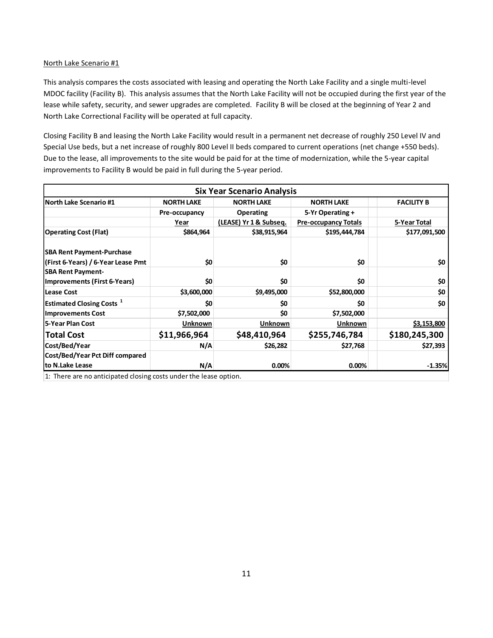This analysis compares the costs associated with leasing and operating the North Lake Facility and a single multi-level MDOC facility (Facility B). This analysis assumes that the North Lake Facility will not be occupied during the first year of the lease while safety, security, and sewer upgrades are completed. Facility B will be closed at the beginning of Year 2 and North Lake Correctional Facility will be operated at full capacity.

Closing Facility B and leasing the North Lake Facility would result in a permanent net decrease of roughly 250 Level IV and Special Use beds, but a net increase of roughly 800 Level II beds compared to current operations (net change +550 beds). Due to the lease, all improvements to the site would be paid for at the time of modernization, while the 5-year capital improvements to Facility B would be paid in full during the 5-year period.

|                                                                        |                   | <b>Six Year Scenario Analysis</b> |                             |                   |
|------------------------------------------------------------------------|-------------------|-----------------------------------|-----------------------------|-------------------|
| North Lake Scenario #1                                                 | <b>NORTH LAKE</b> | <b>NORTH LAKE</b>                 | <b>NORTH LAKE</b>           | <b>FACILITY B</b> |
|                                                                        | Pre-occupancy     | <b>Operating</b>                  | 5-Yr Operating +            |                   |
|                                                                        | Year              | (LEASE) Yr 1 & Subseq.            | <b>Pre-occupancy Totals</b> | 5-Year Total      |
| <b>Operating Cost (Flat)</b>                                           | \$864,964         | \$38,915,964                      | \$195,444,784               | \$177,091,500     |
| <b>SBA Rent Payment-Purchase</b><br>(First 6-Years) / 6-Year Lease Pmt | \$0               | \$0                               | \$0                         | \$0               |
| <b>SBA Rent Payment-</b><br>Improvements (First 6-Years)               | \$0               | \$0                               | \$0                         | \$0               |
| Lease Cost                                                             | \$3,600,000       | \$9,495,000                       | \$52,800,000                | \$0               |
| Estimated Closing Costs <sup>1</sup>                                   | \$0               | \$0                               | \$0                         | \$0               |
| <b>Improvements Cost</b>                                               | \$7,502,000       | \$0                               | \$7,502,000                 |                   |
| 5-Year Plan Cost                                                       | Unknown           | <b>Unknown</b>                    | <b>Unknown</b>              | \$3,153,800       |
| <b>Total Cost</b>                                                      | \$11,966,964      | \$48,410,964                      | \$255,746,784               | \$180,245,300     |
| Cost/Bed/Year                                                          | N/A               | \$26,282                          | \$27,768                    | \$27,393          |
| Cost/Bed/Year Pct Diff compared<br>to N.Lake Lease                     | N/A               | 0.00%                             | 0.00%                       | $-1.35%$          |

1: There are no anticipated closing costs under the lease option.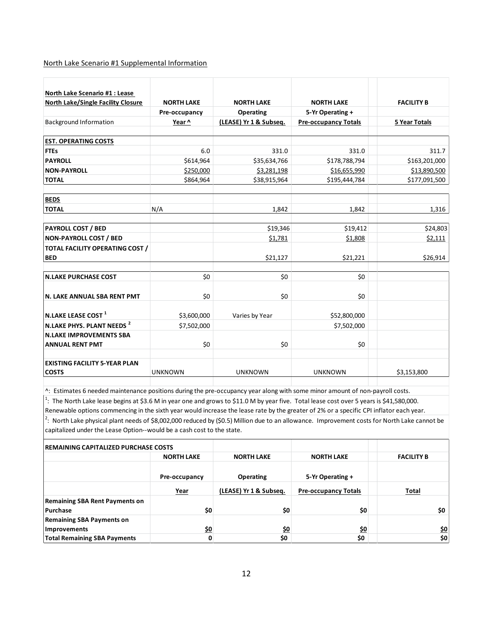#### North Lake Scenario #1 Supplemental Information

| North Lake Scenario #1 : Lease<br><b>North Lake/Single Facility Closure</b> | <b>NORTH LAKE</b> | <b>NORTH LAKE</b>      | <b>NORTH LAKE</b>           | <b>FACILITY B</b>    |
|-----------------------------------------------------------------------------|-------------------|------------------------|-----------------------------|----------------------|
|                                                                             | Pre-occupancy     | Operating              | 5-Yr Operating +            |                      |
| <b>Background Information</b>                                               | Year ^            | (LEASE) Yr 1 & Subseq. | <b>Pre-occupancy Totals</b> | <b>5 Year Totals</b> |
| <b>EST. OPERATING COSTS</b>                                                 |                   |                        |                             |                      |
| <b>FTEs</b>                                                                 | 6.0               | 331.0                  | 331.0                       | 311.7                |
| <b>PAYROLL</b>                                                              | \$614,964         | \$35,634,766           | \$178,788,794               | \$163,201,000        |
| <b>NON-PAYROLL</b>                                                          | \$250,000         | \$3,281,198            | \$16,655,990                | \$13,890,500         |
| <b>TOTAL</b>                                                                | \$864,964         | \$38,915,964           | \$195,444,784               | \$177,091,500        |
| <b>BEDS</b>                                                                 |                   |                        |                             |                      |
| <b>TOTAL</b>                                                                | N/A               | 1,842                  | 1,842                       | 1,316                |
| <b>PAYROLL COST / BED</b>                                                   |                   | \$19,346               | \$19,412                    | \$24,803             |
| <b>NON-PAYROLL COST / BED</b>                                               |                   | \$1,781                | \$1,808                     | \$2,111              |
| <b>TOTAL FACILITY OPERATING COST /</b><br><b>BED</b>                        |                   | \$21,127               | \$21,221                    | \$26,914             |
|                                                                             |                   |                        |                             |                      |
| <b>N.LAKE PURCHASE COST</b>                                                 | \$0               | \$0                    | \$0                         |                      |
| N. LAKE ANNUAL SBA RENT PMT                                                 | \$0               | \$0                    | \$0                         |                      |
| N.LAKE LEASE COST <sup>1</sup>                                              | \$3,600,000       | Varies by Year         | \$52,800,000                |                      |
| N.LAKE PHYS. PLANT NEEDS <sup>2</sup>                                       | \$7,502,000       |                        | \$7,502,000                 |                      |
| <b>N.LAKE IMPROVEMENTS SBA</b><br><b>ANNUAL RENT PMT</b>                    | \$0               | \$0                    | \$0                         |                      |
|                                                                             |                   |                        |                             |                      |
| <b>EXISTING FACILITY 5-YEAR PLAN</b><br><b>COSTS</b>                        | <b>UNKNOWN</b>    | <b>UNKNOWN</b>         | <b>UNKNOWN</b>              | \$3,153,800          |

^: Estimates 6 needed maintenance positions during the pre-occupancy year along with some minor amount of non-payroll costs.

<sup>1</sup>: The North Lake lease begins at \$3.6 M in year one and grows to \$11.0 M by year five. Total lease cost over 5 years is \$41,580,000.

Renewable options commencing in the sixth year would increase the lease rate by the greater of 2% or a specific CPI inflator each year.  $2$ : North Lake physical plant needs of \$8,002,000 reduced by (\$0.5) Million due to an allowance. Improvement costs for North Lake cannot be capitalized under the Lease Option--would be a cash cost to the state.

| <b>IREMAINING CAPITALIZED PURCHASE COSTS</b>            |                   |                        |                             |                   |
|---------------------------------------------------------|-------------------|------------------------|-----------------------------|-------------------|
|                                                         | <b>NORTH LAKE</b> | <b>NORTH LAKE</b>      | <b>NORTH LAKE</b>           | <b>FACILITY B</b> |
|                                                         | Pre-occupancy     | <b>Operating</b>       | 5-Yr Operating +            |                   |
|                                                         | Year              | (LEASE) Yr 1 & Subseg. | <b>Pre-occupancy Totals</b> | Total             |
| <b>Remaining SBA Rent Payments on</b><br>Purchase       | \$0               | \$0                    | \$0                         | \$0               |
| <b>Remaining SBA Payments on</b><br><b>Improvements</b> | <u>\$0</u>        | <u>\$0</u>             | <u>\$0</u>                  | \$0               |
| <b>Total Remaining SBA Payments</b>                     | 0                 | \$0                    | \$0                         | \$0               |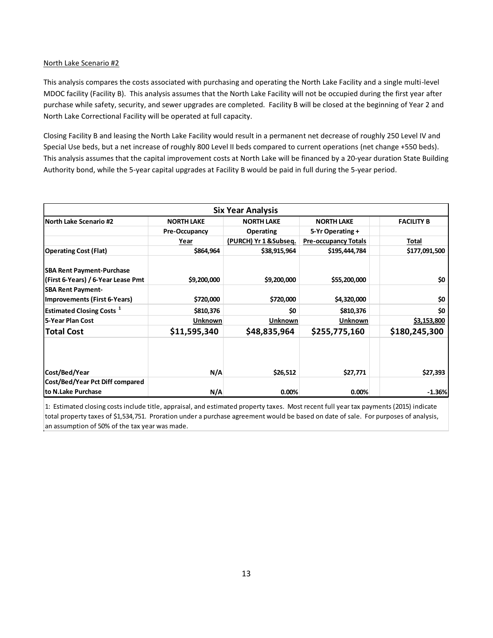This analysis compares the costs associated with purchasing and operating the North Lake Facility and a single multi-level MDOC facility (Facility B). This analysis assumes that the North Lake Facility will not be occupied during the first year after purchase while safety, security, and sewer upgrades are completed. Facility B will be closed at the beginning of Year 2 and North Lake Correctional Facility will be operated at full capacity.

Closing Facility B and leasing the North Lake Facility would result in a permanent net decrease of roughly 250 Level IV and Special Use beds, but a net increase of roughly 800 Level II beds compared to current operations (net change +550 beds). This analysis assumes that the capital improvement costs at North Lake will be financed by a 20-year duration State Building Authority bond, while the 5-year capital upgrades at Facility B would be paid in full during the 5-year period.

|                                                                        |                   | <b>Six Year Analysis</b> |                             |                   |
|------------------------------------------------------------------------|-------------------|--------------------------|-----------------------------|-------------------|
| <b>North Lake Scenario #2</b>                                          | <b>NORTH LAKE</b> | <b>NORTH LAKE</b>        | <b>NORTH LAKE</b>           | <b>FACILITY B</b> |
|                                                                        | Pre-Occupancy     | <b>Operating</b>         | 5-Yr Operating +            |                   |
|                                                                        | Year              | (PURCH) Yr 1 & Subseq.   | <b>Pre-occupancy Totals</b> | Total             |
| <b>Operating Cost (Flat)</b>                                           | \$864,964         | \$38,915,964             | \$195,444,784               | \$177,091,500     |
| <b>SBA Rent Payment-Purchase</b><br>(First 6-Years) / 6-Year Lease Pmt | \$9,200,000       | \$9,200,000              | \$55,200,000                | \$0               |
| <b>SBA Rent Payment-</b>                                               |                   |                          |                             |                   |
| Improvements (First 6-Years)                                           | \$720,000         | \$720,000                | \$4,320,000                 | \$0               |
| <b>Estimated Closing Costs</b> $1$                                     | \$810,376         | \$0                      | \$810,376                   | \$0               |
| 5-Year Plan Cost                                                       | Unknown           | <b>Unknown</b>           | <b>Unknown</b>              | \$3,153,800       |
| <b>Total Cost</b>                                                      | \$11,595,340      | \$48,835,964             | \$255,775,160               | \$180,245,300     |
| Cost/Bed/Year                                                          | N/A               | \$26,512                 | \$27,771                    | \$27,393          |
| Cost/Bed/Year Pct Diff compared                                        |                   |                          |                             |                   |
| to N.Lake Purchase                                                     | N/A               | 0.00%                    | 0.00%                       | $-1.36%$          |

1: Estimated closing costs include title, appraisal, and estimated property taxes. Most recent full year tax payments (2015) indicate total property taxes of \$1,534,751. Proration under a purchase agreement would be based on date of sale. For purposes of analysis, an assumption of 50% of the tax year was made.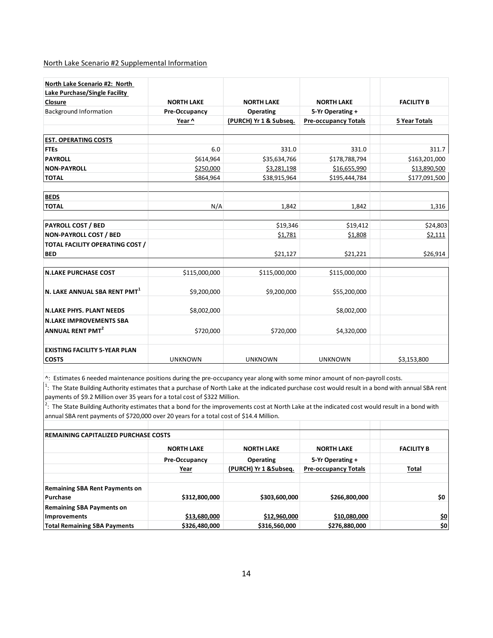#### North Lake Scenario #2 Supplemental Information

| North Lake Scenario #2: North                        |                   |                        |                             |                      |
|------------------------------------------------------|-------------------|------------------------|-----------------------------|----------------------|
| Lake Purchase/Single Facility                        |                   |                        |                             |                      |
| <b>Closure</b>                                       | <b>NORTH LAKE</b> | <b>NORTH LAKE</b>      | <b>NORTH LAKE</b>           | <b>FACILITY B</b>    |
| <b>Background Information</b>                        | Pre-Occupancy     | <b>Operating</b>       | 5-Yr Operating +            |                      |
|                                                      | Year ^            | (PURCH) Yr 1 & Subseq. | <b>Pre-occupancy Totals</b> | <b>5 Year Totals</b> |
| <b>EST. OPERATING COSTS</b>                          |                   |                        |                             |                      |
| <b>FTEs</b>                                          | 6.0               | 331.0                  | 331.0                       | 311.7                |
| <b>PAYROLL</b>                                       | \$614,964         | \$35,634,766           | \$178,788,794               | \$163,201,000        |
| <b>NON-PAYROLL</b>                                   | \$250,000         | \$3,281,198            | \$16,655,990                | \$13,890,500         |
| <b>TOTAL</b>                                         | \$864,964         | \$38,915,964           | \$195,444,784               | \$177,091,500        |
| <b>BEDS</b>                                          |                   |                        |                             |                      |
| <b>TOTAL</b>                                         | N/A               | 1,842                  | 1,842                       | 1,316                |
| <b>PAYROLL COST / BED</b>                            |                   | \$19,346               | \$19,412                    | \$24,803             |
| <b>NON-PAYROLL COST / BED</b>                        |                   | \$1,781                | \$1,808                     | \$2,111              |
| <b>TOTAL FACILITY OPERATING COST /</b>               |                   |                        |                             |                      |
| <b>BED</b>                                           |                   | \$21,127               | \$21,221                    | \$26,914             |
| <b>N.LAKE PURCHASE COST</b>                          | \$115,000,000     | \$115,000,000          | \$115,000,000               |                      |
| N. LAKE ANNUAL SBA RENT PMT <sup>1</sup>             | \$9,200,000       | \$9,200,000            | \$55,200,000                |                      |
| <b>N.LAKE PHYS. PLANT NEEDS</b>                      | \$8,002,000       |                        | \$8,002,000                 |                      |
| <b>N.LAKE IMPROVEMENTS SBA</b>                       |                   |                        |                             |                      |
| <b>ANNUAL RENT PMT<sup>2</sup></b>                   | \$720,000         | \$720,000              | \$4,320,000                 |                      |
| <b>EXISTING FACILITY 5-YEAR PLAN</b><br><b>COSTS</b> | <b>UNKNOWN</b>    | <b>UNKNOWN</b>         | <b>UNKNOWN</b>              | \$3,153,800          |

^: Estimates 6 needed maintenance positions during the pre-occupancy year along with some minor amount of non-payroll costs.

 $1$ : The State Building Authority estimates that a purchase of North Lake at the indicated purchase cost would result in a bond with annual SBA rent payments of \$9.2 Million over 35 years for a total cost of \$322 Million.

 $^2$ : The State Building Authority estimates that a bond for the improvements cost at North Lake at the indicated cost would result in a bond with annual SBA rent payments of \$720,000 over 20 years for a total cost of \$14.4 Million.

| <b>IREMAINING CAPITALIZED PURCHASE COSTS</b>             |                   |                        |                             |                   |
|----------------------------------------------------------|-------------------|------------------------|-----------------------------|-------------------|
|                                                          | <b>NORTH LAKE</b> | <b>NORTH LAKE</b>      | <b>NORTH LAKE</b>           | <b>FACILITY B</b> |
|                                                          | Pre-Occupancy     | <b>Operating</b>       | 5-Yr Operating +            |                   |
|                                                          | <u>Year</u>       | (PURCH) Yr 1 & Subseq. | <b>Pre-occupancy Totals</b> | <b>Total</b>      |
| <b>Remaining SBA Rent Payments on</b><br><b>Purchase</b> | \$312,800,000     | \$303,600,000          | \$266,800,000               | \$0               |
| <b>Remaining SBA Payments on</b><br>Improvements         | \$13,680,000      | \$12,960,000           | \$10,080,000                | \$0               |
| <b>Total Remaining SBA Payments</b>                      | \$326,480,000     | \$316,560,000          | \$276,880,000               | \$0               |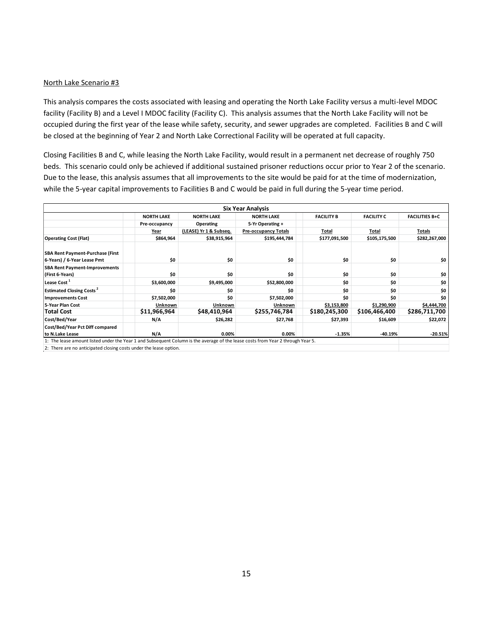This analysis compares the costs associated with leasing and operating the North Lake Facility versus a multi-level MDOC facility (Facility B) and a Level I MDOC facility (Facility C). This analysis assumes that the North Lake Facility will not be occupied during the first year of the lease while safety, security, and sewer upgrades are completed. Facilities B and C will be closed at the beginning of Year 2 and North Lake Correctional Facility will be operated at full capacity.

Closing Facilities B and C, while leasing the North Lake Facility, would result in a permanent net decrease of roughly 750 beds. This scenario could only be achieved if additional sustained prisoner reductions occur prior to Year 2 of the scenario. Due to the lease, this analysis assumes that all improvements to the site would be paid for at the time of modernization, while the 5-year capital improvements to Facilities B and C would be paid in full during the 5-year time period.

|                                                                                                                                 |                   |                        | <b>Six Year Analysis</b>    |                   |                   |                       |
|---------------------------------------------------------------------------------------------------------------------------------|-------------------|------------------------|-----------------------------|-------------------|-------------------|-----------------------|
|                                                                                                                                 | <b>NORTH LAKE</b> | <b>NORTH LAKE</b>      | <b>NORTH LAKE</b>           | <b>FACILITY B</b> | <b>FACILITY C</b> | <b>FACILITIES B+C</b> |
|                                                                                                                                 | Pre-occupancy     | Operating              | 5-Yr Operating +            |                   |                   |                       |
|                                                                                                                                 | Year              | (LEASE) Yr 1 & Subseq. | <b>Pre-occupancy Totals</b> | Total             | Total             | Totals                |
| <b>Operating Cost (Flat)</b>                                                                                                    | \$864,964         | \$38,915,964           | \$195,444,784               | \$177,091,500     | \$105,175,500     | \$282,267,000         |
| <b>SBA Rent Payment-Purchase (First</b><br>6-Years) / 6-Year Lease Pmt                                                          | \$0               | \$0                    | \$0                         | \$0               | \$0               | \$0                   |
| <b>SBA Rent Payment-Improvements</b><br>(First 6-Years)                                                                         | \$0               | \$0                    | \$0                         | \$0               | \$0               | \$0                   |
| Lease Cost <sup>1</sup>                                                                                                         | \$3,600,000       | \$9,495,000            | \$52,800,000                | \$0               | \$0               | \$0                   |
| <b>Estimated Closing Costs<sup>2</sup></b>                                                                                      | \$O               | \$0                    | \$0                         | \$0               | \$0               | \$0                   |
| <b>Improvements Cost</b>                                                                                                        | \$7,502,000       | \$0                    | \$7,502,000                 | \$0               | \$0               | \$0                   |
| 5-Year Plan Cost                                                                                                                | Unknown           | Unknown                | Unknown                     | \$3,153,800       | \$1,290,900       | \$4,444,700           |
| <b>Total Cost</b>                                                                                                               | \$11,966,964      | \$48,410,964           | \$255,746,784               | \$180,245,300     | \$106,466,400     | \$286,711,700         |
| Cost/Bed/Year                                                                                                                   | N/A               | \$26,282               | \$27,768                    | \$27,393          | \$16,609          | \$22,072              |
| Cost/Bed/Year Pct Diff compared                                                                                                 |                   |                        |                             |                   |                   |                       |
| to N.Lake Lease                                                                                                                 | N/A               | 0.00%                  | 0.00%                       | $-1.35%$          | $-40.19%$         | $-20.51%$             |
| 1: The lease amount listed under the Year 1 and Subsequent Column is the average of the lease costs from Year 2 through Year 5. |                   |                        |                             |                   |                   |                       |

2: There are no anticipated closing costs under the lease option.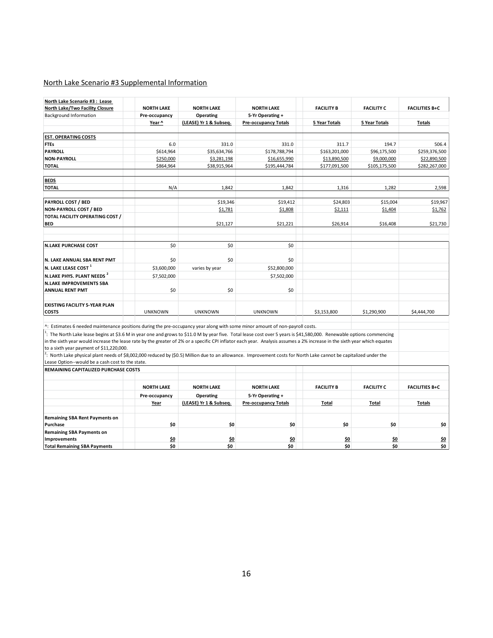# North Lake Scenario #3 Supplemental Information

| North Lake Scenario #3 : Lease                                                                                                                                                                                              |                   |                        |                             |                      |                      |                       |
|-----------------------------------------------------------------------------------------------------------------------------------------------------------------------------------------------------------------------------|-------------------|------------------------|-----------------------------|----------------------|----------------------|-----------------------|
| North Lake/Two Facility Closure                                                                                                                                                                                             | <b>NORTH LAKE</b> | <b>NORTH LAKE</b>      | <b>NORTH LAKE</b>           | <b>FACILITY B</b>    | <b>FACILITY C</b>    | <b>FACILITIES B+C</b> |
| Background Information                                                                                                                                                                                                      | Pre-occupancy     | Operating              | 5-Yr Operating +            |                      |                      |                       |
|                                                                                                                                                                                                                             | Year ^            | (LEASE) Yr 1 & Subseq. | <b>Pre-occupancy Totals</b> | <b>5 Year Totals</b> | <b>5 Year Totals</b> | <b>Totals</b>         |
| <b>EST. OPERATING COSTS</b>                                                                                                                                                                                                 |                   |                        |                             |                      |                      |                       |
| <b>FTEs</b>                                                                                                                                                                                                                 | 6.0               | 331.0                  | 331.0                       | 311.7                | 194.7                | 506.4                 |
| <b>PAYROLL</b>                                                                                                                                                                                                              | \$614,964         | \$35,634,766           | \$178,788,794               | \$163,201,000        | \$96,175,500         | \$259,376,500         |
| <b>NON-PAYROLL</b>                                                                                                                                                                                                          | \$250,000         | \$3,281,198            | \$16,655,990                | \$13,890,500         | \$9,000,000          | \$22,890,500          |
| <b>TOTAL</b>                                                                                                                                                                                                                | \$864,964         | \$38,915,964           | \$195,444,784               | \$177,091,500        | \$105,175,500        | \$282,267,000         |
| <b>BEDS</b>                                                                                                                                                                                                                 |                   |                        |                             |                      |                      |                       |
| <b>TOTAL</b>                                                                                                                                                                                                                | N/A               | 1,842                  | 1,842                       | 1,316                | 1,282                | 2,598                 |
| PAYROLL COST / BED                                                                                                                                                                                                          |                   | \$19,346               | \$19,412                    | \$24,803             | \$15,004             | \$19,967              |
| <b>NON-PAYROLL COST / BED</b>                                                                                                                                                                                               |                   | \$1,781                | \$1,808                     | \$2,111              | \$1,404              | \$1,762               |
| TOTAL FACILITY OPERATING COST /                                                                                                                                                                                             |                   |                        |                             |                      |                      |                       |
| <b>BED</b>                                                                                                                                                                                                                  |                   | \$21,127               | \$21,221                    | \$26,914             | \$16,408             | \$21,730              |
| <b>N.LAKE PURCHASE COST</b>                                                                                                                                                                                                 | \$0               | \$0                    | \$0                         |                      |                      |                       |
|                                                                                                                                                                                                                             |                   |                        |                             |                      |                      |                       |
| N. LAKE ANNUAL SBA RENT PMT                                                                                                                                                                                                 | \$0               | \$0                    | \$0                         |                      |                      |                       |
| N. LAKE LEASE COST <sup>1</sup>                                                                                                                                                                                             | \$3,600,000       | varies by year         | \$52,800,000                |                      |                      |                       |
| N.LAKE PHYS. PLANT NEEDS <sup>2</sup>                                                                                                                                                                                       | \$7,502,000       |                        | \$7,502,000                 |                      |                      |                       |
| <b>N.LAKE IMPROVEMENTS SBA</b>                                                                                                                                                                                              |                   |                        |                             |                      |                      |                       |
| <b>ANNUAL RENT PMT</b>                                                                                                                                                                                                      | \$0               | \$0                    | \$0                         |                      |                      |                       |
| <b>EXISTING FACILITY 5-YEAR PLAN</b>                                                                                                                                                                                        |                   |                        |                             |                      |                      |                       |
| <b>COSTS</b>                                                                                                                                                                                                                | <b>UNKNOWN</b>    | <b>UNKNOWN</b>         | <b>UNKNOWN</b>              | \$3,153,800          | \$1,290,900          | \$4,444,700           |
| ^: Estimates 6 needed maintenance positions during the pre-occupancy year along with some minor amount of non-payroll costs.                                                                                                |                   |                        |                             |                      |                      |                       |
| <sup>1</sup> : The North Lake lease begins at \$3.6 M in year one and grows to \$11.0 M by year five. Total lease cost over 5 years is \$41,580,000. Renewable options commencing                                           |                   |                        |                             |                      |                      |                       |
| in the sixth year would increase the lease rate by the greater of 2% or a specific CPI inflator each year. Analysis assumes a 2% increase in the sixth year which equates                                                   |                   |                        |                             |                      |                      |                       |
| to a sixth year payment of \$11,220,000.<br>$\frac{2}{1}$ . North Lake physical plant needs of \$8,002,000 reduced by (\$0.5) Million due to an allowance. Improvement costs for North Lake cannot be capitalized under the |                   |                        |                             |                      |                      |                       |
| Lease Option--would be a cash cost to the state.                                                                                                                                                                            |                   |                        |                             |                      |                      |                       |
| REMAINING CAPITALIZED PURCHASE COSTS                                                                                                                                                                                        |                   |                        |                             |                      |                      |                       |
|                                                                                                                                                                                                                             | <b>NORTH LAKE</b> | <b>NORTH LAKE</b>      | <b>NORTH LAKE</b>           | <b>FACILITY B</b>    | <b>FACILITY C</b>    | <b>FACILITIES B+C</b> |
|                                                                                                                                                                                                                             | Pre-occupancy     | Operating              | 5-Yr Operating +            |                      |                      |                       |
|                                                                                                                                                                                                                             | Year              | (LEASE) Yr 1 & Subseq. | <b>Pre-occupancy Totals</b> | Total                | Total                | <b>Totals</b>         |
| <b>Remaining SBA Rent Payments on</b>                                                                                                                                                                                       |                   |                        |                             |                      |                      |                       |
| Purchase                                                                                                                                                                                                                    | \$0               | \$0                    | \$0                         | \$0                  | \$0                  | \$0                   |
| <b>Remaining SBA Payments on</b>                                                                                                                                                                                            |                   |                        |                             |                      |                      |                       |
| <b>Improvements</b>                                                                                                                                                                                                         | \$0               | \$0                    | \$0                         | \$0                  | \$0                  | \$0                   |
| <b>Total Remaining SBA Payments</b>                                                                                                                                                                                         | \$0               | \$0                    | \$0                         | \$0                  | \$0                  | \$0                   |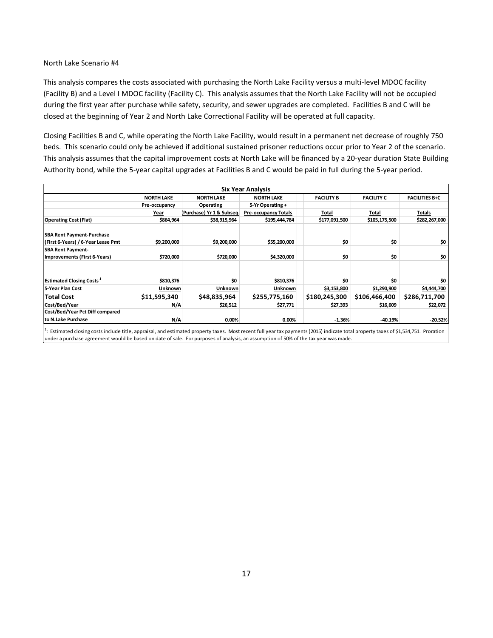This analysis compares the costs associated with purchasing the North Lake Facility versus a multi-level MDOC facility (Facility B) and a Level I MDOC facility (Facility C). This analysis assumes that the North Lake Facility will not be occupied during the first year after purchase while safety, security, and sewer upgrades are completed. Facilities B and C will be closed at the beginning of Year 2 and North Lake Correctional Facility will be operated at full capacity.

Closing Facilities B and C, while operating the North Lake Facility, would result in a permanent net decrease of roughly 750 beds. This scenario could only be achieved if additional sustained prisoner reductions occur prior to Year 2 of the scenario. This analysis assumes that the capital improvement costs at North Lake will be financed by a 20-year duration State Building Authority bond, while the 5-year capital upgrades at Facilities B and C would be paid in full during the 5-year period.

|                                                                        |                   |                          | <b>Six Year Analysis</b>    |                   |                   |                       |
|------------------------------------------------------------------------|-------------------|--------------------------|-----------------------------|-------------------|-------------------|-----------------------|
|                                                                        | <b>NORTH LAKE</b> | <b>NORTH LAKE</b>        | <b>NORTH LAKE</b>           | <b>FACILITY B</b> | <b>FACILITY C</b> | <b>FACILITIES B+C</b> |
|                                                                        | Pre-occupancy     | Operating                | 5-Yr Operating +            |                   |                   |                       |
|                                                                        | Year              | Purchase) Yr 1 & Subseq. | <b>Pre-occupancy Totals</b> | Total             | Total             | Totals                |
| <b>Operating Cost (Flat)</b>                                           | \$864,964         | \$38,915,964             | \$195,444,784               | \$177,091,500     | \$105,175,500     | \$282,267,000         |
| <b>SBA Rent Payment-Purchase</b><br>(First 6-Years) / 6-Year Lease Pmt | \$9,200,000       | \$9,200,000              | \$55,200,000                | \$0               | \$0               | \$0                   |
| <b>SBA Rent Payment-</b>                                               |                   |                          |                             |                   |                   |                       |
| Improvements (First 6-Years)                                           | \$720,000         | \$720,000                | \$4,320,000                 | \$0               | \$0               | \$0                   |
| <b>Estimated Closing Costs</b> <sup>1</sup>                            | \$810,376         | \$O                      | \$810,376                   | \$0               | \$O               | \$0                   |
| 5-Year Plan Cost                                                       | Unknown           | Unknown                  | <b>Unknown</b>              | \$3,153,800       | \$1,290,900       | \$4,444,700           |
| <b>Total Cost</b>                                                      | \$11,595,340      | \$48,835,964             | \$255,775,160               | \$180,245,300     | \$106,466,400     | \$286,711,700         |
| Cost/Bed/Year                                                          | N/A               | \$26,512                 | \$27,771                    | \$27,393          | \$16,609          | \$22,072              |
| Cost/Bed/Year Pct Diff compared                                        |                   |                          |                             |                   |                   |                       |
| to N.Lake Purchase                                                     | N/A               | $0.00\%$                 | 0.00%                       | $-1.36%$          | $-40.19%$         | $-20.52%$             |

<sup>1</sup>: Estimated closing costs include title, appraisal, and estimated property taxes. Most recent full year tax payments (2015) indicate total property taxes of \$1,534,751. Proration under a purchase agreement would be based on date of sale. For purposes of analysis, an assumption of 50% of the tax year was made.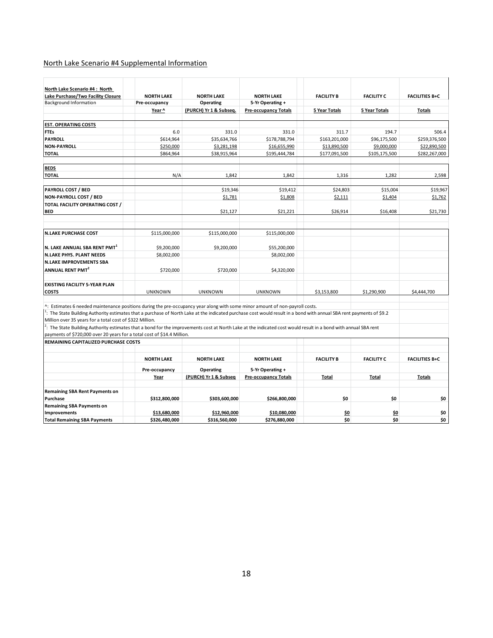# North Lake Scenario #4 Supplemental Information

| North Lake Scenario #4: North<br>Lake Purchase/Two Facility Closure                                                                                                                                                                           | <b>NORTH LAKE</b> | <b>NORTH LAKE</b>      | <b>NORTH LAKE</b>           | <b>FACILITY B</b>    | <b>FACILITY C</b> | <b>FACILITIES B+C</b> |
|-----------------------------------------------------------------------------------------------------------------------------------------------------------------------------------------------------------------------------------------------|-------------------|------------------------|-----------------------------|----------------------|-------------------|-----------------------|
| <b>Background Information</b>                                                                                                                                                                                                                 | Pre-occupancy     | Operating              | 5-Yr Operating +            |                      |                   |                       |
|                                                                                                                                                                                                                                               | Year ^            | (PURCH) Yr 1 & Subseq. | <b>Pre-occupancy Totals</b> | <b>5 Year Totals</b> | 5 Year Totals     | <b>Totals</b>         |
| <b>EST. OPERATING COSTS</b>                                                                                                                                                                                                                   |                   |                        |                             |                      |                   |                       |
| <b>FTEs</b>                                                                                                                                                                                                                                   | 6.0               | 331.0                  | 331.0                       | 311.7                | 194.7             | 506.4                 |
| PAYROLL                                                                                                                                                                                                                                       | \$614,964         | \$35,634,766           | \$178,788,794               | \$163,201,000        | \$96,175,500      | \$259,376,500         |
| <b>NON-PAYROLL</b>                                                                                                                                                                                                                            | \$250,000         | \$3,281,198            | \$16,655,990                | \$13,890,500         | \$9,000,000       | \$22,890,500          |
| <b>TOTAL</b>                                                                                                                                                                                                                                  | \$864,964         | \$38,915,964           | \$195,444,784               | \$177,091,500        | \$105,175,500     | \$282,267,000         |
| <b>BEDS</b>                                                                                                                                                                                                                                   |                   |                        |                             |                      |                   |                       |
| <b>TOTAL</b>                                                                                                                                                                                                                                  | N/A               | 1,842                  | 1,842                       | 1,316                | 1,282             | 2,598                 |
| <b>PAYROLL COST / BED</b>                                                                                                                                                                                                                     |                   | \$19,346               | \$19,412                    | \$24,803             | \$15,004          | \$19,967              |
| NON-PAYROLL COST / BED                                                                                                                                                                                                                        |                   | \$1,781                | \$1,808                     | \$2,111              | \$1,404           | \$1,762               |
| TOTAL FACILITY OPERATING COST /                                                                                                                                                                                                               |                   |                        |                             |                      |                   |                       |
| <b>BED</b>                                                                                                                                                                                                                                    |                   | \$21,127               | \$21,221                    | \$26,914             | \$16,408          | \$21,730              |
| <b>N.LAKE PURCHASE COST</b>                                                                                                                                                                                                                   | \$115,000,000     | \$115,000,000          | \$115,000,000               |                      |                   |                       |
|                                                                                                                                                                                                                                               |                   |                        |                             |                      |                   |                       |
| N. LAKE ANNUAL SBA RENT PMT <sup>1</sup>                                                                                                                                                                                                      | \$9,200,000       | \$9,200,000            | \$55,200,000                |                      |                   |                       |
| <b>N.LAKE PHYS. PLANT NEEDS</b>                                                                                                                                                                                                               | \$8,002,000       |                        | \$8,002,000                 |                      |                   |                       |
| <b>N.LAKE IMPROVEMENTS SBA</b>                                                                                                                                                                                                                |                   |                        |                             |                      |                   |                       |
| ANNUAL RENT PMT <sup>2</sup>                                                                                                                                                                                                                  | \$720,000         | \$720,000              | \$4,320,000                 |                      |                   |                       |
| <b>EXISTING FACILITY 5-YEAR PLAN</b><br><b>COSTS</b>                                                                                                                                                                                          | <b>UNKNOWN</b>    | <b>UNKNOWN</b>         | <b>UNKNOWN</b>              | \$3,153,800          | \$1,290,900       | \$4,444,700           |
| ^: Estimates 6 needed maintenance positions during the pre-occupancy year along with some minor amount of non-payroll costs.                                                                                                                  |                   |                        |                             |                      |                   |                       |
| $1$ : The State Building Authority estimates that a purchase of North Lake at the indicated purchase cost would result in a bond with annual SBA rent payments of \$9.2                                                                       |                   |                        |                             |                      |                   |                       |
| Million over 35 years for a total cost of \$322 Million.                                                                                                                                                                                      |                   |                        |                             |                      |                   |                       |
| $2$ : The State Building Authority estimates that a bond for the improvements cost at North Lake at the indicated cost would result in a bond with annual SBA rent<br>payments of \$720,000 over 20 years for a total cost of \$14.4 Million. |                   |                        |                             |                      |                   |                       |
| <b>REMAINING CAPITALIZED PURCHASE COSTS</b>                                                                                                                                                                                                   |                   |                        |                             |                      |                   |                       |
|                                                                                                                                                                                                                                               |                   |                        |                             |                      |                   |                       |
|                                                                                                                                                                                                                                               | <b>NORTH LAKE</b> | <b>NORTH LAKE</b>      | <b>NORTH LAKE</b>           | <b>FACILITY B</b>    | <b>FACILITY C</b> | <b>FACILITIES B+C</b> |
|                                                                                                                                                                                                                                               | Pre-occupancy     | Operating              | 5-Yr Operating +            |                      |                   |                       |
|                                                                                                                                                                                                                                               | Year              | (PURCH) Yr 1 & Subseq  | <b>Pre-occupancy Totals</b> | <b>Total</b>         | Total             | <b>Totals</b>         |
| <b>Remaining SBA Rent Payments on</b>                                                                                                                                                                                                         |                   |                        |                             |                      |                   |                       |
| Purchase                                                                                                                                                                                                                                      | \$312,800,000     | \$303,600,000          | \$266,800,000               | \$0                  | \$0               | \$0                   |
| <b>Remaining SBA Payments on</b>                                                                                                                                                                                                              |                   |                        |                             |                      |                   |                       |
| Improvements                                                                                                                                                                                                                                  | \$13,680,000      | \$12,960,000           | \$10,080,000                | \$0                  | \$0               | \$0                   |
| <b>Total Remaining SBA Payments</b>                                                                                                                                                                                                           | \$326,480,000     | \$316,560,000          | \$276,880,000               | \$0                  | \$0               | \$0                   |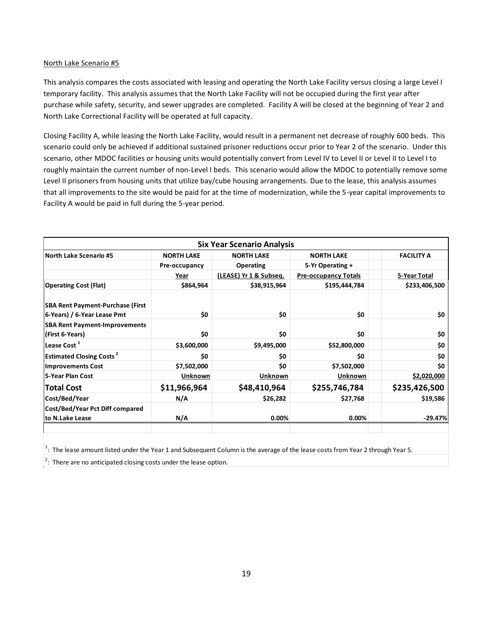This analysis compares the costs associated with leasing and operating the North Lake Facility versus closing a large Level I temporary facility. This analysis assumes that the North Lake Facility will not be occupied during the first year after purchase while safety, security, and sewer upgrades are completed. Facility A will be closed at the beginning of Year 2 and North Lake Correctional Facility will be operated at full capacity.

Closing Facility A, while leasing the North Lake Facility, would result in a permanent net decrease of roughly 600 beds. This scenario could only be achieved if additional sustained prisoner reductions occur prior to Year 2 of the scenario. Under this scenario, other MDOC facilities or housing units would potentially convert from Level IV to Level II or Level II to Level I to roughly maintain the current number of non-Level I beds. This scenario would allow the MDOC to potentially remove some Level II prisoners from housing units that utilize bay/cube housing arrangements. Due to the lease, this analysis assumes that all improvements to the site would be paid for at the time of modernization, while the 5-year capital improvements to Facility A would be paid in full during the 5-year period.

|                                                                        |                   | <b>Six Year Scenario Analysis</b> |                             |                   |
|------------------------------------------------------------------------|-------------------|-----------------------------------|-----------------------------|-------------------|
| <b>North Lake Scenario #5</b>                                          | <b>NORTH LAKE</b> | <b>NORTH LAKE</b>                 | <b>NORTH LAKE</b>           | <b>FACILITY A</b> |
|                                                                        | Pre-occupancy     | <b>Operating</b>                  | 5-Yr Operating +            |                   |
|                                                                        | Year              | (LEASE) Yr 1 & Subseq.            | <b>Pre-occupancy Totals</b> | 5-Year Total      |
| <b>Operating Cost (Flat)</b>                                           | \$864,964         | \$38,915,964                      | \$195,444,784               | \$233,406,500     |
| <b>SBA Rent Payment-Purchase (First</b><br>6-Years) / 6-Year Lease Pmt | \$0               | \$0                               | \$0                         | \$0               |
| <b>SBA Rent Payment-Improvements</b>                                   |                   |                                   |                             |                   |
| (First 6-Years)                                                        | \$0               | \$0                               | \$0                         | \$0               |
| Lease Cost <sup>1</sup>                                                | \$3,600,000       | \$9,495,000                       | \$52,800,000                | \$0               |
| <b>Estimated Closing Costs<sup>2</sup></b>                             | \$0               | \$0                               | \$0                         | \$0               |
| <b>Improvements Cost</b>                                               | \$7,502,000       | \$0                               | \$7,502,000                 | \$0               |
| 5-Year Plan Cost                                                       | Unknown           | Unknown                           | Unknown                     | \$2,020,000       |
| <b>Total Cost</b>                                                      | \$11,966,964      | \$48,410,964                      | \$255,746,784               | \$235,426,500     |
| Cost/Bed/Year                                                          | N/A               | \$26,282                          | \$27,768                    | \$19,586          |
| Cost/Bed/Year Pct Diff compared                                        |                   |                                   |                             |                   |
| to N.Lake Lease                                                        | N/A               | 0.00%                             | 0.00%                       | $-29.47%$         |
|                                                                        |                   |                                   |                             |                   |

 $1$ : The lease amount listed under the Year 1 and Subsequent Column is the average of the lease costs from Year 2 through Year 5.

 $2$ : There are no anticipated closing costs under the lease option.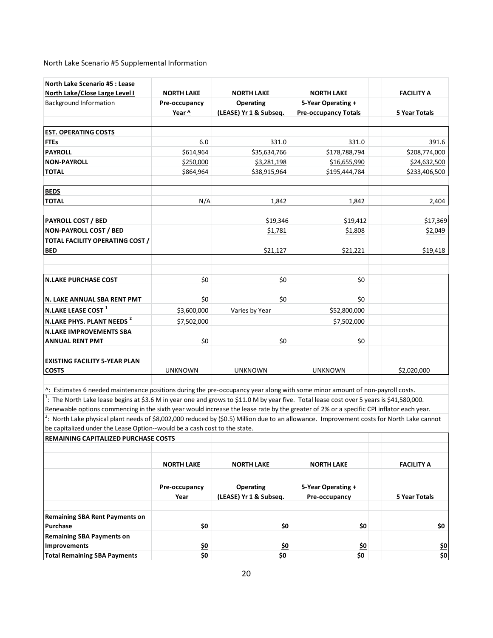North Lake Scenario #5 Supplemental Information

|                                                                                                                                                                                                                                                                                      | <b>NORTH LAKE</b> | <b>NORTH LAKE</b>                          | <b>NORTH LAKE</b>           | <b>FACILITY A</b> |
|--------------------------------------------------------------------------------------------------------------------------------------------------------------------------------------------------------------------------------------------------------------------------------------|-------------------|--------------------------------------------|-----------------------------|-------------------|
| North Lake/Close Large Level I<br><b>Background Information</b>                                                                                                                                                                                                                      | Pre-occupancy     |                                            | 5-Year Operating +          |                   |
|                                                                                                                                                                                                                                                                                      | Year ^            | <b>Operating</b><br>(LEASE) Yr 1 & Subseq. | <b>Pre-occupancy Totals</b> |                   |
|                                                                                                                                                                                                                                                                                      |                   |                                            |                             | 5 Year Totals     |
| <b>EST. OPERATING COSTS</b>                                                                                                                                                                                                                                                          |                   |                                            |                             |                   |
| <b>FTEs</b>                                                                                                                                                                                                                                                                          | 6.0               | 331.0                                      | 331.0                       | 391.6             |
| <b>PAYROLL</b>                                                                                                                                                                                                                                                                       | \$614,964         | \$35,634,766                               | \$178,788,794               | \$208,774,000     |
| <b>NON-PAYROLL</b>                                                                                                                                                                                                                                                                   | \$250,000         | \$3,281,198                                | \$16,655,990                | \$24,632,500      |
| <b>TOTAL</b>                                                                                                                                                                                                                                                                         | \$864,964         | \$38,915,964                               | \$195,444,784               | \$233,406,500     |
| <b>BEDS</b>                                                                                                                                                                                                                                                                          |                   |                                            |                             |                   |
| <b>TOTAL</b>                                                                                                                                                                                                                                                                         | N/A               | 1,842                                      | 1,842                       | 2,404             |
| <b>PAYROLL COST / BED</b>                                                                                                                                                                                                                                                            |                   | \$19,346                                   | \$19,412                    | \$17,369          |
| <b>NON-PAYROLL COST / BED</b>                                                                                                                                                                                                                                                        |                   | \$1,781                                    | \$1,808                     | \$2,049           |
|                                                                                                                                                                                                                                                                                      |                   |                                            |                             |                   |
| TOTAL FACILITY OPERATING COST /<br><b>BED</b>                                                                                                                                                                                                                                        |                   | \$21,127                                   | \$21,221                    | \$19,418          |
|                                                                                                                                                                                                                                                                                      |                   |                                            |                             |                   |
| <b>N.LAKE PURCHASE COST</b>                                                                                                                                                                                                                                                          | \$0               | \$0                                        | \$0                         |                   |
|                                                                                                                                                                                                                                                                                      |                   |                                            |                             |                   |
| N. LAKE ANNUAL SBA RENT PMT                                                                                                                                                                                                                                                          | \$0               | \$0                                        | \$0                         |                   |
| N.LAKE LEASE COST <sup>1</sup>                                                                                                                                                                                                                                                       | \$3,600,000       | Varies by Year                             | \$52,800,000                |                   |
| N.LAKE PHYS. PLANT NEEDS <sup>2</sup>                                                                                                                                                                                                                                                | \$7,502,000       |                                            | \$7,502,000                 |                   |
| <b>N.LAKE IMPROVEMENTS SBA</b>                                                                                                                                                                                                                                                       |                   |                                            |                             |                   |
| <b>ANNUAL RENT PMT</b>                                                                                                                                                                                                                                                               | \$0               | \$0                                        | \$0                         |                   |
| <b>EXISTING FACILITY 5-YEAR PLAN</b>                                                                                                                                                                                                                                                 |                   |                                            |                             |                   |
| <b>COSTS</b>                                                                                                                                                                                                                                                                         | <b>UNKNOWN</b>    | <b>UNKNOWN</b>                             | <b>UNKNOWN</b>              | \$2,020,000       |
|                                                                                                                                                                                                                                                                                      |                   |                                            |                             |                   |
| ^: Estimates 6 needed maintenance positions during the pre-occupancy year along with some minor amount of non-payroll costs.<br><sup>1</sup> : The North Lake lease begins at \$3.6 M in year one and grows to \$11.0 M by year five. Total lease cost over 5 years is \$41,580,000. |                   |                                            |                             |                   |

Renewable options commencing in the sixth year would increase the lease rate by the greater of 2% or a specific CPI inflator each year. <sup>2</sup>: North Lake physical plant needs of \$8,002,000 reduced by (\$0.5) Million due to an allowance. Improvement costs for North Lake cannot be capitalized under the Lease Option--would be a cash cost to the state.

| <b>REMAINING CAPITALIZED PURCHASE COSTS</b>       |                   |                        |                    |                   |
|---------------------------------------------------|-------------------|------------------------|--------------------|-------------------|
|                                                   |                   |                        |                    |                   |
|                                                   | <b>NORTH LAKE</b> | <b>NORTH LAKE</b>      | <b>NORTH LAKE</b>  | <b>FACILITY A</b> |
|                                                   | Pre-occupancy     | <b>Operating</b>       | 5-Year Operating + |                   |
|                                                   | <u>Year</u>       | (LEASE) Yr 1 & Subseq. | Pre-occupancy      | 5 Year Totals     |
| <b>Remaining SBA Rent Payments on</b><br>Purchase | \$0               | \$0                    | \$0                | \$0               |
| <b>Remaining SBA Payments on</b><br>Improvements  | <u>\$0</u>        | \$0                    | <u>\$0</u>         | <u>\$0</u>        |
| <b>Total Remaining SBA Payments</b>               | \$0               | \$0                    | \$0                | \$0               |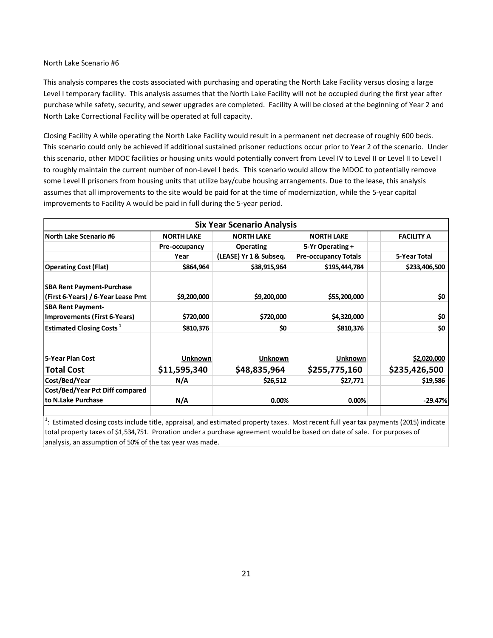This analysis compares the costs associated with purchasing and operating the North Lake Facility versus closing a large Level I temporary facility. This analysis assumes that the North Lake Facility will not be occupied during the first year after purchase while safety, security, and sewer upgrades are completed. Facility A will be closed at the beginning of Year 2 and North Lake Correctional Facility will be operated at full capacity.

Closing Facility A while operating the North Lake Facility would result in a permanent net decrease of roughly 600 beds. This scenario could only be achieved if additional sustained prisoner reductions occur prior to Year 2 of the scenario. Under this scenario, other MDOC facilities or housing units would potentially convert from Level IV to Level II or Level II to Level I to roughly maintain the current number of non-Level I beds. This scenario would allow the MDOC to potentially remove some Level II prisoners from housing units that utilize bay/cube housing arrangements. Due to the lease, this analysis assumes that all improvements to the site would be paid for at the time of modernization, while the 5-year capital improvements to Facility A would be paid in full during the 5-year period.

|                                                                        |                   | <b>Six Year Scenario Analysis</b> |                             |                   |
|------------------------------------------------------------------------|-------------------|-----------------------------------|-----------------------------|-------------------|
| North Lake Scenario #6                                                 | <b>NORTH LAKE</b> | <b>NORTH LAKE</b>                 | <b>NORTH LAKE</b>           | <b>FACILITY A</b> |
|                                                                        | Pre-occupancy     | <b>Operating</b>                  | 5-Yr Operating +            |                   |
|                                                                        | Year              | (LEASE) Yr 1 & Subseq.            | <b>Pre-occupancy Totals</b> | 5-Year Total      |
| <b>Operating Cost (Flat)</b>                                           | \$864,964         | \$38,915,964                      | \$195,444,784               | \$233,406,500     |
| <b>SBA Rent Payment-Purchase</b><br>(First 6-Years) / 6-Year Lease Pmt | \$9,200,000       | \$9,200,000                       | \$55,200,000                | \$0               |
| <b>SBA Rent Payment-</b>                                               |                   |                                   |                             |                   |
| Improvements (First 6-Years)                                           | \$720,000         | \$720,000                         | \$4,320,000                 | \$0               |
| <b>Estimated Closing Costs<sup>1</sup></b>                             | \$810,376         | \$0                               | \$810,376                   | \$0               |
| 5-Year Plan Cost                                                       | Unknown           | Unknown                           | Unknown                     | \$2,020,000       |
| <b>Total Cost</b>                                                      | \$11,595,340      | \$48,835,964                      | \$255,775,160               | \$235,426,500     |
| Cost/Bed/Year                                                          | N/A               | \$26,512                          | \$27,771                    | \$19,586          |
| Cost/Bed/Year Pct Diff compared                                        |                   |                                   |                             |                   |
| to N.Lake Purchase                                                     | N/A               | 0.00%                             | 0.00%                       | $-29.47%$         |

 $1$ : Estimated closing costs include title, appraisal, and estimated property taxes. Most recent full year tax payments (2015) indicate total property taxes of \$1,534,751. Proration under a purchase agreement would be based on date of sale. For purposes of analysis, an assumption of 50% of the tax year was made.